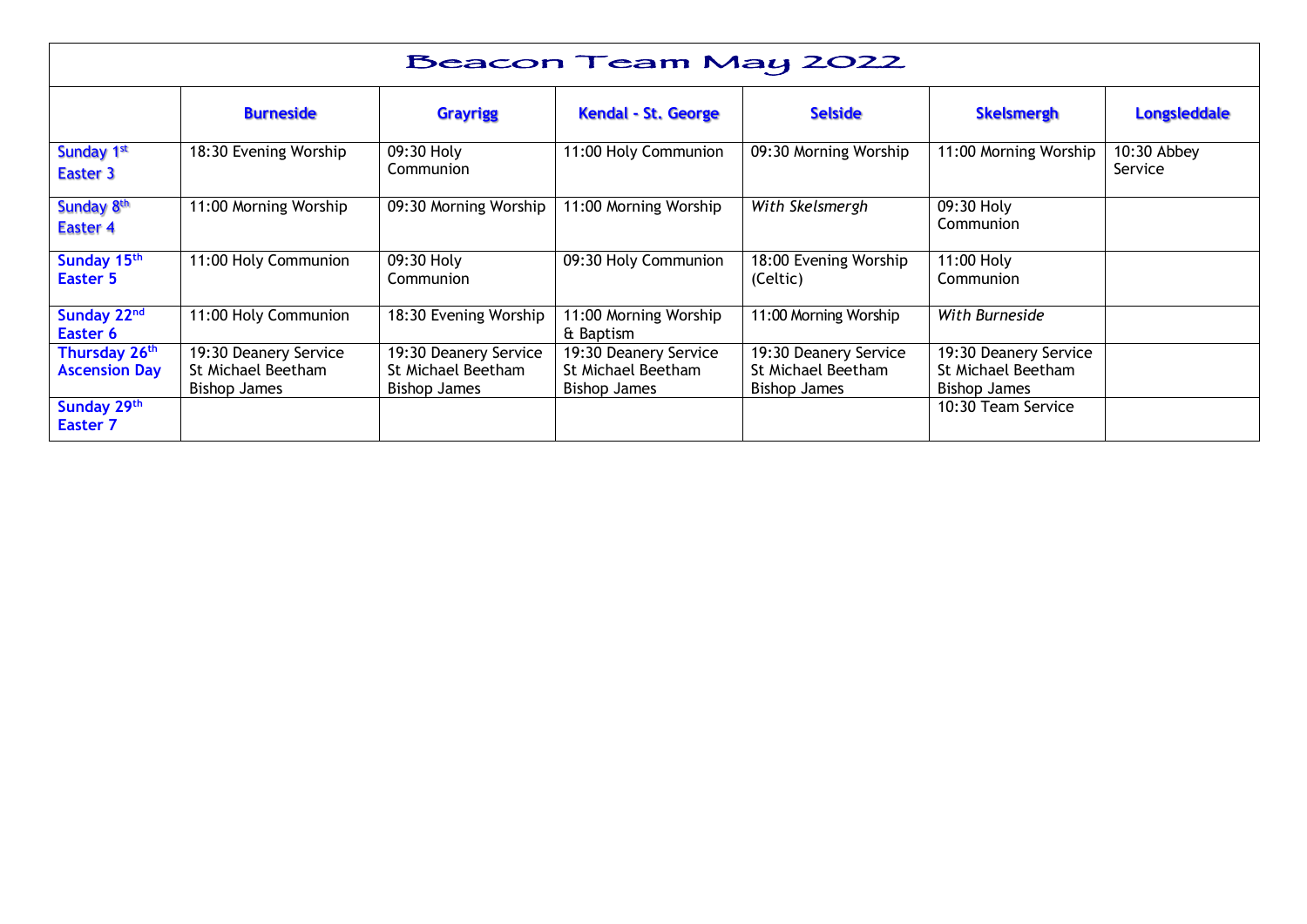| Beacon Team May 2022                              |                                                                    |                                                                    |                                                                    |                                                                    |                                                             |                        |  |  |
|---------------------------------------------------|--------------------------------------------------------------------|--------------------------------------------------------------------|--------------------------------------------------------------------|--------------------------------------------------------------------|-------------------------------------------------------------|------------------------|--|--|
|                                                   | <b>Burneside</b>                                                   | <b>Grayrigg</b>                                                    | <b>Kendal - St. George</b>                                         | <b>Selside</b>                                                     | <b>Skelsmergh</b>                                           | <b>Longsleddale</b>    |  |  |
| Sunday 1st<br>Easter 3                            | 18:30 Evening Worship                                              | 09:30 Holy<br>Communion                                            | 11:00 Holy Communion                                               | 09:30 Morning Worship                                              | 11:00 Morning Worship                                       | 10:30 Abbey<br>Service |  |  |
| Sunday 8th<br><b>Easter 4</b>                     | 11:00 Morning Worship                                              | 09:30 Morning Worship                                              | 11:00 Morning Worship                                              | With Skelsmergh                                                    | 09:30 Holy<br>Communion                                     |                        |  |  |
| Sunday 15th<br>Easter 5                           | 11:00 Holy Communion                                               | 09:30 Holy<br>Communion                                            | 09:30 Holy Communion                                               | 18:00 Evening Worship<br>(Celtic)                                  | 11:00 Holy<br>Communion                                     |                        |  |  |
| Sunday 22nd<br>Easter 6                           | 11:00 Holy Communion                                               | 18:30 Evening Worship                                              | 11:00 Morning Worship<br>& Baptism                                 | 11:00 Morning Worship                                              | With Burneside                                              |                        |  |  |
| Thursday 26 <sup>th</sup><br><b>Ascension Day</b> | 19:30 Deanery Service<br>St Michael Beetham<br><b>Bishop James</b> | 19:30 Deanery Service<br>St Michael Beetham<br><b>Bishop James</b> | 19:30 Deanery Service<br>St Michael Beetham<br><b>Bishop James</b> | 19:30 Deanery Service<br>St Michael Beetham<br><b>Bishop James</b> | 19:30 Deanery Service<br>St Michael Beetham<br>Bishop James |                        |  |  |
| Sunday 29th<br><b>Easter 7</b>                    |                                                                    |                                                                    |                                                                    |                                                                    | 10:30 Team Service                                          |                        |  |  |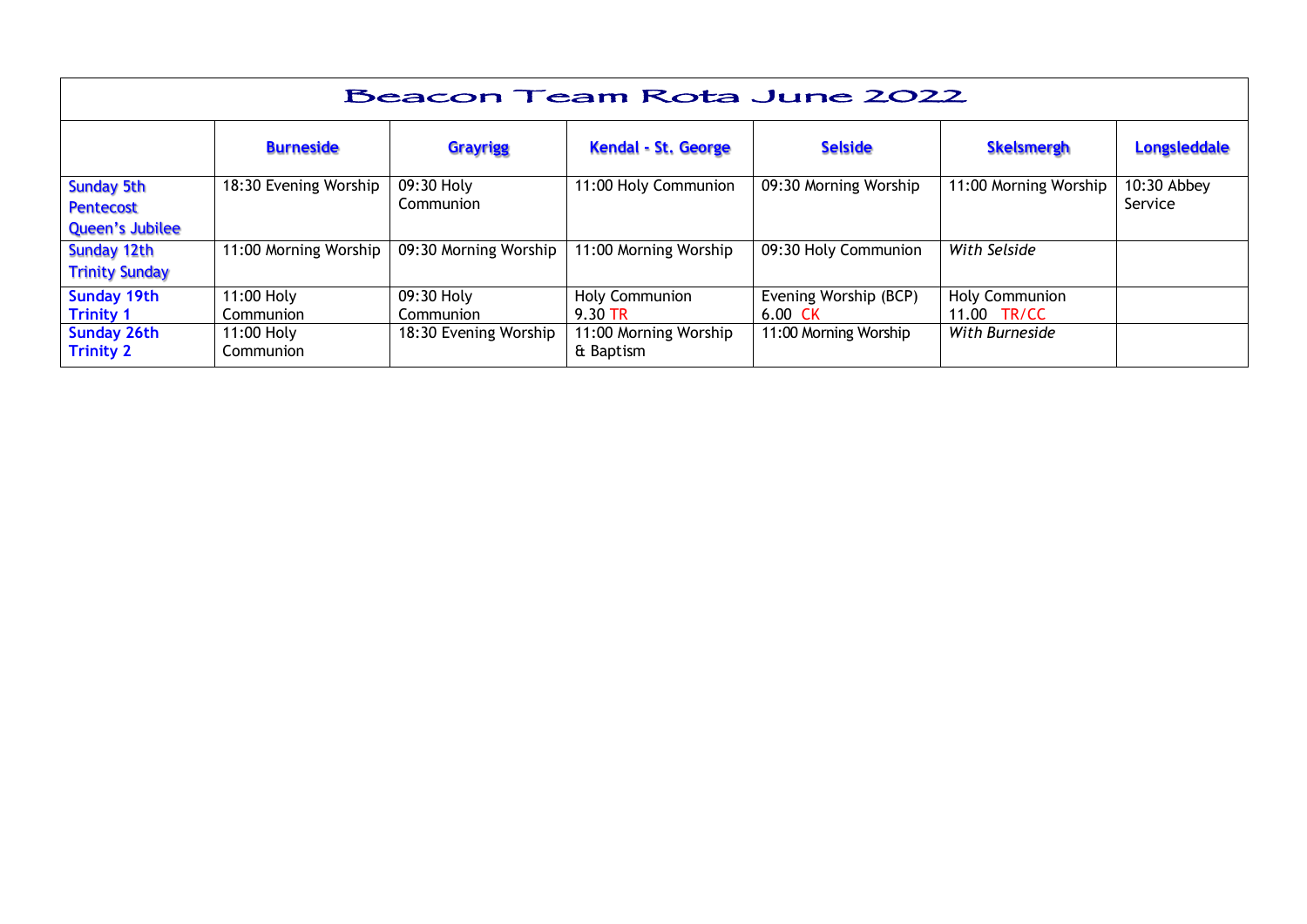| Beacon Team Rota June 2022                                      |                         |                         |                                    |                                            |                               |                          |  |  |
|-----------------------------------------------------------------|-------------------------|-------------------------|------------------------------------|--------------------------------------------|-------------------------------|--------------------------|--|--|
|                                                                 | <b>Burneside</b>        | <b>Grayrigg</b>         | <b>Kendal - St. George</b>         | <b>Selside</b>                             | <b>Skelsmergh</b>             | <b>Longsleddale</b>      |  |  |
| <b>Sunday 5th</b><br><b>Pentecost</b><br><b>Queen's Jubilee</b> | 18:30 Evening Worship   | 09:30 Holy<br>Communion | 11:00 Holy Communion               | 09:30 Morning Worship                      | 11:00 Morning Worship         | $10:30$ Abbey<br>Service |  |  |
| Sunday 12th<br><b>Trinity Sunday</b>                            | 11:00 Morning Worship   | 09:30 Morning Worship   | 11:00 Morning Worship              | 09:30 Holy Communion                       | With Selside                  |                          |  |  |
| <b>Sunday 19th</b><br><b>Trinity 1</b>                          | 11:00 Holy<br>Communion | 09:30 Holy<br>Communion | <b>Holy Communion</b><br>9.30 TR   | Evening Worship (BCP)<br>$6.00 \text{ CK}$ | Holy Communion<br>11.00 TR/CC |                          |  |  |
| <b>Sunday 26th</b><br><b>Trinity 2</b>                          | 11:00 Holy<br>Communion | 18:30 Evening Worship   | 11:00 Morning Worship<br>& Baptism | 11:00 Morning Worship                      | With Burneside                |                          |  |  |